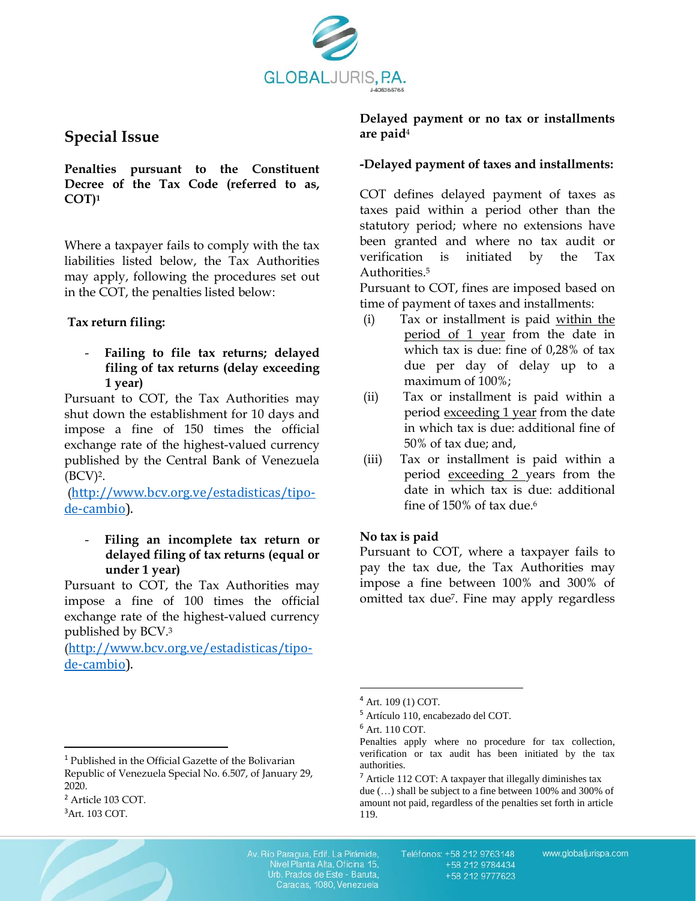

# **Special Issue**

**Penalties pursuant to the Constituent Decree of the Tax Code (referred to as, COT)<sup>1</sup>**

Where a taxpayer fails to comply with the tax liabilities listed below, the Tax Authorities may apply, following the procedures set out in the COT, the penalties listed below:

## **Tax return filing:**

- **Failing to file tax returns; delayed filing of tax returns (delay exceeding 1 year)**

Pursuant to COT, the Tax Authorities may shut down the establishment for 10 days and impose a fine of 150 times the official exchange rate of the highest-valued currency published by the Central Bank of Venezuela  $(BCV)<sup>2</sup>$ .

([http://www.bcv.org.ve/estadisticas/tipo](http://www.bcv.org.ve/estadisticas/tipo-de-cambio)[de-cambio\)](http://www.bcv.org.ve/estadisticas/tipo-de-cambio).

## - **Filing an incomplete tax return or delayed filing of tax returns (equal or under 1 year)**

Pursuant to COT, the Tax Authorities may impose a fine of 100 times the official exchange rate of the highest-valued currency published by BCV. 3

([http://www.bcv.org.ve/estadisticas/tipo](http://www.bcv.org.ve/estadisticas/tipo-de-cambio)[de-cambio\)](http://www.bcv.org.ve/estadisticas/tipo-de-cambio).

#### **-Delayed payment of taxes and installments:**

COT defines delayed payment of taxes as taxes paid within a period other than the statutory period; where no extensions have been granted and where no tax audit or verification is initiated by the Tax Authorities. 5

Pursuant to COT, fines are imposed based on time of payment of taxes and installments:

- (i) Tax or installment is paid within the period of 1 year from the date in which tax is due: fine of 0,28% of tax due per day of delay up to a maximum of 100%;
- (ii) Tax or installment is paid within a period exceeding 1 year from the date in which tax is due: additional fine of 50% of tax due; and,
- (iii) Tax or installment is paid within a period exceeding 2 years from the date in which tax is due: additional fine of 150% of tax due. 6

## **No tax is paid**

Pursuant to COT, where a taxpayer fails to pay the tax due, the Tax Authorities may impose a fine between 100% and 300% of omitted tax due7. Fine may apply regardless

 $\overline{a}$ 

 $\overline{a}$ 

Av. Río Paragua, Edif. La Pirámide,<br>Nivel Planta Alta, Oficina 15, Urb. Prados de Este - Baruta, Caracas, 1080, Venezuela

Teléfonos: +58 212 9763148 +58 212 9784434 +58 212 9777623

**Delayed payment or no tax or installments are paid**<sup>4</sup>

<sup>4</sup> Art. 109 (1) COT.

<sup>5</sup> Artículo 110, encabezado del COT.

<sup>6</sup> Art. 110 COT.

Penalties apply where no procedure for tax collection, verification or tax audit has been initiated by the tax authorities.

<sup>7</sup> Article 112 COT: A taxpayer that illegally diminishes tax due (…) shall be subject to a fine between 100% and 300% of amount not paid, regardless of the penalties set forth in article 119.

<sup>1</sup> Published in the Official Gazette of the Bolivarian Republic of Venezuela Special No. 6.507, of January 29, 2020.

<sup>2</sup> Article 103 COT.

<sup>3</sup>Art. 103 COT.